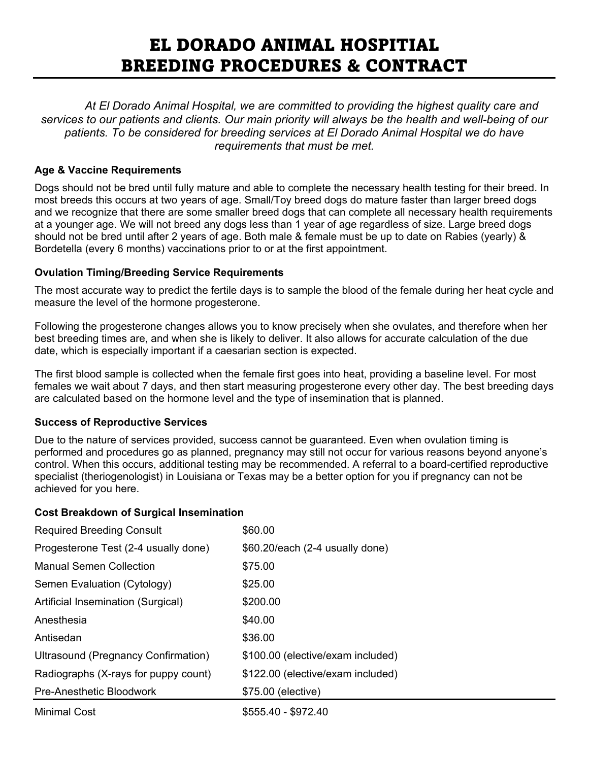# EL DORADO ANIMAL HOSPITIAL BREEDING PROCEDURES & CONTRACT

*At El Dorado Animal Hospital, we are committed to providing the highest quality care and services to our patients and clients. Our main priority will always be the health and well-being of our patients. To be considered for breeding services at El Dorado Animal Hospital we do have requirements that must be met.*

## **Age & Vaccine Requirements**

Dogs should not be bred until fully mature and able to complete the necessary health testing for their breed. In most breeds this occurs at two years of age. Small/Toy breed dogs do mature faster than larger breed dogs and we recognize that there are some smaller breed dogs that can complete all necessary health requirements at a younger age. We will not breed any dogs less than 1 year of age regardless of size. Large breed dogs should not be bred until after 2 years of age. Both male & female must be up to date on Rabies (yearly) & Bordetella (every 6 months) vaccinations prior to or at the first appointment.

## **Ovulation Timing/Breeding Service Requirements**

The most accurate way to predict the fertile days is to sample the blood of the female during her heat cycle and measure the level of the hormone progesterone.

Following the progesterone changes allows you to know precisely when she ovulates, and therefore when her best breeding times are, and when she is likely to deliver. It also allows for accurate calculation of the due date, which is especially important if a caesarian section is expected.

The first blood sample is collected when the female first goes into heat, providing a baseline level. For most females we wait about 7 days, and then start measuring progesterone every other day. The best breeding days are calculated based on the hormone level and the type of insemination that is planned.

### **Success of Reproductive Services**

Due to the nature of services provided, success cannot be guaranteed. Even when ovulation timing is performed and procedures go as planned, pregnancy may still not occur for various reasons beyond anyone's control. When this occurs, additional testing may be recommended. A referral to a board-certified reproductive specialist (theriogenologist) in Louisiana or Texas may be a better option for you if pregnancy can not be achieved for you here.

### **Cost Breakdown of Surgical Insemination**

| <b>Required Breeding Consult</b>     | \$60.00                           |
|--------------------------------------|-----------------------------------|
| Progesterone Test (2-4 usually done) | $$60.20$ /each (2-4 usually done) |
| <b>Manual Semen Collection</b>       | \$75.00                           |
| Semen Evaluation (Cytology)          | \$25.00                           |
| Artificial Insemination (Surgical)   | \$200.00                          |
| Anesthesia                           | \$40.00                           |
| Antisedan                            | \$36.00                           |
| Ultrasound (Pregnancy Confirmation)  | \$100.00 (elective/exam included) |
| Radiographs (X-rays for puppy count) | \$122.00 (elective/exam included) |
| Pre-Anesthetic Bloodwork             | \$75.00 (elective)                |
| <b>Minimal Cost</b>                  | \$555.40 - \$972.40               |